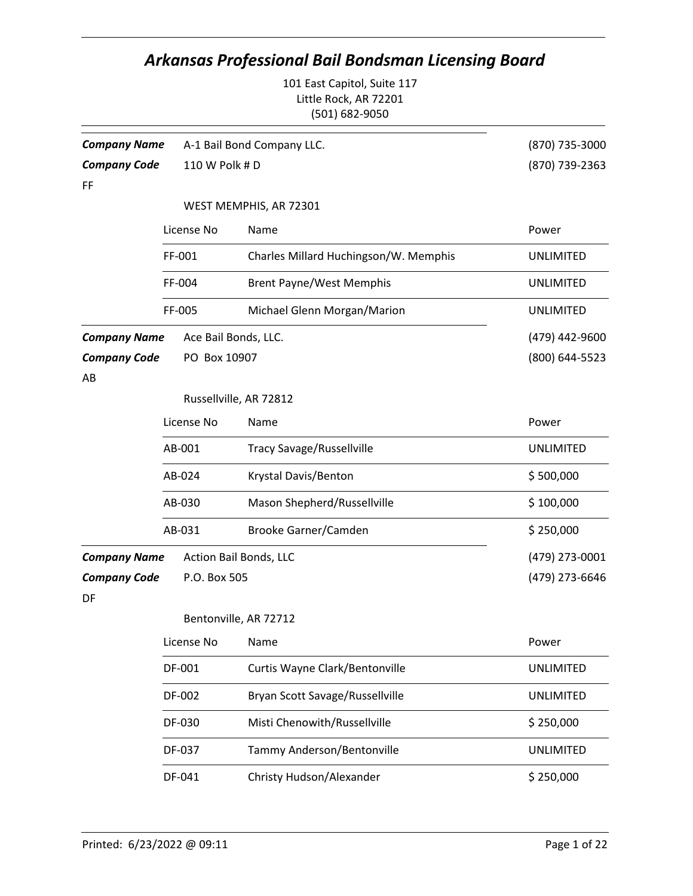|                           |                | <b>Arkansas Professional Bail Bondsman Licensing Board</b>             |                  |
|---------------------------|----------------|------------------------------------------------------------------------|------------------|
|                           |                | 101 East Capitol, Suite 117<br>Little Rock, AR 72201<br>(501) 682-9050 |                  |
| <b>Company Name</b>       |                | A-1 Bail Bond Company LLC.                                             | (870) 735-3000   |
| <b>Company Code</b><br>FF | 110 W Polk # D |                                                                        | (870) 739-2363   |
|                           |                | WEST MEMPHIS, AR 72301                                                 |                  |
|                           | License No     | Name                                                                   | Power            |
|                           | FF-001         | Charles Millard Huchingson/W. Memphis                                  | <b>UNLIMITED</b> |
|                           | FF-004         | <b>Brent Payne/West Memphis</b>                                        | <b>UNLIMITED</b> |
|                           | FF-005         | Michael Glenn Morgan/Marion                                            | <b>UNLIMITED</b> |
| <b>Company Name</b>       |                | Ace Bail Bonds, LLC.                                                   | (479) 442-9600   |
| <b>Company Code</b><br>AB | PO Box 10907   |                                                                        | (800) 644-5523   |
|                           |                | Russellville, AR 72812                                                 |                  |
|                           | License No     | Name                                                                   | Power            |
|                           | AB-001         | <b>Tracy Savage/Russellville</b>                                       | <b>UNLIMITED</b> |
|                           | AB-024         | Krystal Davis/Benton                                                   | \$500,000        |
|                           | AB-030         | Mason Shepherd/Russellville                                            | \$100,000        |
|                           | AB-031         | Brooke Garner/Camden                                                   | \$250,000        |
| Company Name              |                | Action Bail Bonds, LLC                                                 | (479) 273-0001   |
| <b>Company Code</b><br>DF | P.O. Box 505   |                                                                        | (479) 273-6646   |
|                           |                | Bentonville, AR 72712                                                  |                  |
|                           | License No     | Name                                                                   | Power            |
|                           | DF-001         | Curtis Wayne Clark/Bentonville                                         | <b>UNLIMITED</b> |
|                           | DF-002         | Bryan Scott Savage/Russellville                                        | <b>UNLIMITED</b> |
|                           | DF-030         | Misti Chenowith/Russellville                                           | \$250,000        |
|                           | DF-037         | Tammy Anderson/Bentonville                                             | <b>UNLIMITED</b> |
|                           | DF-041         | Christy Hudson/Alexander                                               | \$250,000        |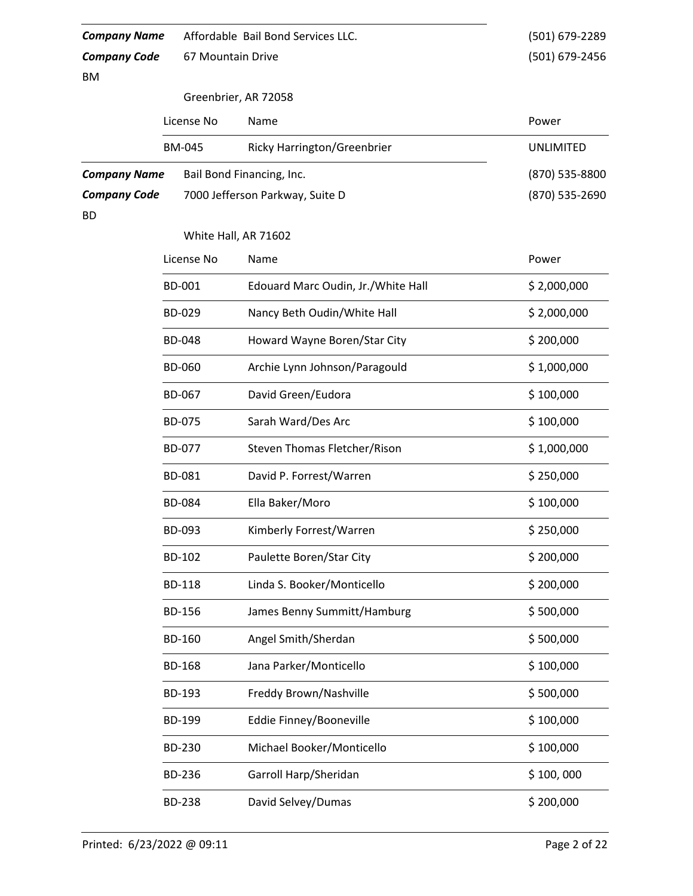| <b>Company Name</b> |                   | Affordable Bail Bond Services LLC. | (501) 679-2289   |  |  |  |
|---------------------|-------------------|------------------------------------|------------------|--|--|--|
| <b>Company Code</b> | 67 Mountain Drive |                                    | (501) 679-2456   |  |  |  |
| ΒM                  |                   |                                    |                  |  |  |  |
|                     |                   | Greenbrier, AR 72058               |                  |  |  |  |
|                     | License No        | Name                               | Power            |  |  |  |
|                     | <b>BM-045</b>     | Ricky Harrington/Greenbrier        | <b>UNLIMITED</b> |  |  |  |
| <b>Company Name</b> |                   | Bail Bond Financing, Inc.          | (870) 535-8800   |  |  |  |
| <b>Company Code</b> |                   | 7000 Jefferson Parkway, Suite D    | (870) 535-2690   |  |  |  |
| <b>BD</b>           |                   |                                    |                  |  |  |  |
|                     |                   | White Hall, AR 71602               |                  |  |  |  |
|                     | License No        | Name                               | Power            |  |  |  |
|                     | BD-001            | Edouard Marc Oudin, Jr./White Hall | \$2,000,000      |  |  |  |
|                     | BD-029            | Nancy Beth Oudin/White Hall        | \$2,000,000      |  |  |  |
|                     | <b>BD-048</b>     | Howard Wayne Boren/Star City       | \$200,000        |  |  |  |
|                     | <b>BD-060</b>     | Archie Lynn Johnson/Paragould      | \$1,000,000      |  |  |  |
|                     | BD-067            | David Green/Eudora                 | \$100,000        |  |  |  |
|                     | BD-075            | Sarah Ward/Des Arc                 | \$100,000        |  |  |  |
|                     | BD-077            | Steven Thomas Fletcher/Rison       | \$1,000,000      |  |  |  |
|                     | BD-081            | David P. Forrest/Warren            | \$250,000        |  |  |  |
|                     | <b>BD-084</b>     | Ella Baker/Moro                    | \$100,000        |  |  |  |
|                     | BD-093            | Kimberly Forrest/Warren            | \$250,000        |  |  |  |
|                     | BD-102            | Paulette Boren/Star City           | \$200,000        |  |  |  |
|                     | <b>BD-118</b>     | Linda S. Booker/Monticello         | \$200,000        |  |  |  |
|                     | <b>BD-156</b>     | James Benny Summitt/Hamburg        | \$500,000        |  |  |  |
|                     | BD-160            | Angel Smith/Sherdan                | \$500,000        |  |  |  |
|                     | <b>BD-168</b>     | Jana Parker/Monticello             | \$100,000        |  |  |  |
|                     | BD-193            | Freddy Brown/Nashville             | \$500,000        |  |  |  |
|                     | BD-199            | Eddie Finney/Booneville            | \$100,000        |  |  |  |
|                     | BD-230            | Michael Booker/Monticello          | \$100,000        |  |  |  |
|                     | BD-236            | Garroll Harp/Sheridan              | \$100,000        |  |  |  |
|                     | <b>BD-238</b>     | David Selvey/Dumas                 | \$200,000        |  |  |  |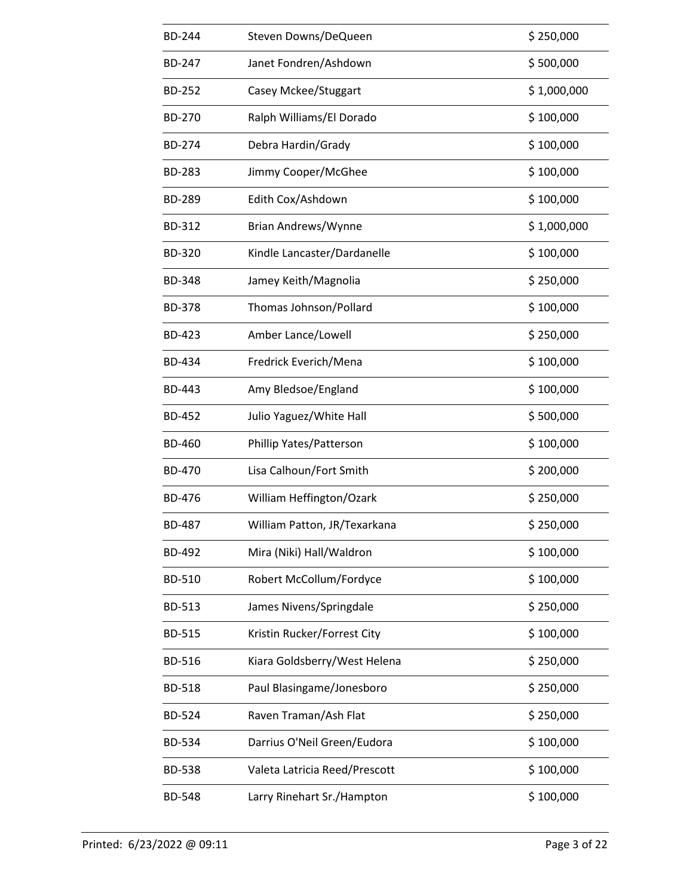| <b>BD-244</b> | Steven Downs/DeQueen          | \$250,000   |
|---------------|-------------------------------|-------------|
| <b>BD-247</b> | Janet Fondren/Ashdown         | \$500,000   |
| <b>BD-252</b> | Casey Mckee/Stuggart          | \$1,000,000 |
| <b>BD-270</b> | Ralph Williams/El Dorado      | \$100,000   |
| <b>BD-274</b> | Debra Hardin/Grady            | \$100,000   |
| <b>BD-283</b> | Jimmy Cooper/McGhee           | \$100,000   |
| <b>BD-289</b> | Edith Cox/Ashdown             | \$100,000   |
| BD-312        | Brian Andrews/Wynne           | \$1,000,000 |
| <b>BD-320</b> | Kindle Lancaster/Dardanelle   | \$100,000   |
| <b>BD-348</b> | Jamey Keith/Magnolia          | \$250,000   |
| <b>BD-378</b> | Thomas Johnson/Pollard        | \$100,000   |
| <b>BD-423</b> | Amber Lance/Lowell            | \$250,000   |
| BD-434        | Fredrick Everich/Mena         | \$100,000   |
| <b>BD-443</b> | Amy Bledsoe/England           | \$100,000   |
| <b>BD-452</b> | Julio Yaguez/White Hall       | \$500,000   |
| <b>BD-460</b> | Phillip Yates/Patterson       | \$100,000   |
| <b>BD-470</b> | Lisa Calhoun/Fort Smith       | \$200,000   |
| <b>BD-476</b> | William Heffington/Ozark      | \$250,000   |
| <b>BD-487</b> | William Patton, JR/Texarkana  | \$250,000   |
| <b>BD-492</b> | Mira (Niki) Hall/Waldron      | \$100,000   |
| BD-510        | Robert McCollum/Fordyce       | \$100,000   |
| BD-513        | James Nivens/Springdale       | \$250,000   |
| <b>BD-515</b> | Kristin Rucker/Forrest City   | \$100,000   |
| BD-516        | Kiara Goldsberry/West Helena  | \$250,000   |
| <b>BD-518</b> | Paul Blasingame/Jonesboro     | \$250,000   |
| BD-524        | Raven Traman/Ash Flat         | \$250,000   |
| BD-534        | Darrius O'Neil Green/Eudora   | \$100,000   |
| <b>BD-538</b> | Valeta Latricia Reed/Prescott | \$100,000   |
| <b>BD-548</b> | Larry Rinehart Sr./Hampton    | \$100,000   |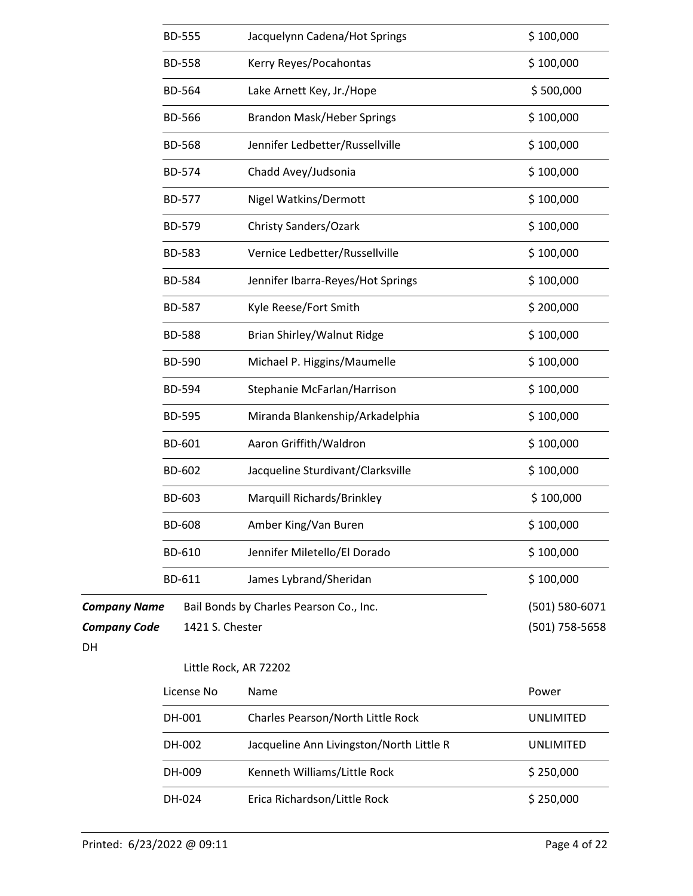|                     | <b>BD-555</b> |                       | Jacquelynn Cadena/Hot Springs            | \$100,000        |
|---------------------|---------------|-----------------------|------------------------------------------|------------------|
|                     | <b>BD-558</b> |                       | Kerry Reyes/Pocahontas                   | \$100,000        |
|                     | BD-564        |                       | Lake Arnett Key, Jr./Hope                | \$500,000        |
|                     | <b>BD-566</b> |                       | <b>Brandon Mask/Heber Springs</b>        | \$100,000        |
|                     | <b>BD-568</b> |                       | Jennifer Ledbetter/Russellville          | \$100,000        |
|                     | BD-574        |                       | Chadd Avey/Judsonia                      | \$100,000        |
|                     | BD-577        |                       | Nigel Watkins/Dermott                    | \$100,000        |
|                     | BD-579        |                       | Christy Sanders/Ozark                    | \$100,000        |
|                     | <b>BD-583</b> |                       | Vernice Ledbetter/Russellville           | \$100,000        |
|                     | <b>BD-584</b> |                       | Jennifer Ibarra-Reyes/Hot Springs        | \$100,000        |
|                     | <b>BD-587</b> |                       | Kyle Reese/Fort Smith                    | \$200,000        |
|                     | <b>BD-588</b> |                       | Brian Shirley/Walnut Ridge               | \$100,000        |
|                     | <b>BD-590</b> |                       | Michael P. Higgins/Maumelle              | \$100,000        |
|                     | BD-594        |                       | Stephanie McFarlan/Harrison              | \$100,000        |
|                     | <b>BD-595</b> |                       | Miranda Blankenship/Arkadelphia          | \$100,000        |
|                     | BD-601        |                       | Aaron Griffith/Waldron                   | \$100,000        |
|                     | BD-602        |                       | Jacqueline Sturdivant/Clarksville        | \$100,000        |
|                     | BD-603        |                       | Marquill Richards/Brinkley               | \$100,000        |
|                     | <b>BD-608</b> |                       | Amber King/Van Buren                     | \$100,000        |
|                     | BD-610        |                       | Jennifer Miletello/El Dorado             | \$100,000        |
|                     | BD-611        |                       | James Lybrand/Sheridan                   | \$100,000        |
| <b>Company Name</b> |               |                       | Bail Bonds by Charles Pearson Co., Inc.  | (501) 580-6071   |
| <b>Company Code</b> |               | 1421 S. Chester       |                                          | (501) 758-5658   |
| DH                  |               |                       |                                          |                  |
|                     |               | Little Rock, AR 72202 |                                          |                  |
|                     |               | License No            | Name                                     | Power            |
|                     | DH-001        |                       | Charles Pearson/North Little Rock        | <b>UNLIMITED</b> |
|                     | DH-002        |                       | Jacqueline Ann Livingston/North Little R | <b>UNLIMITED</b> |
|                     | DH-009        |                       | Kenneth Williams/Little Rock             | \$250,000        |
|                     | DH-024        |                       | Erica Richardson/Little Rock             | \$250,000        |
|                     |               |                       |                                          |                  |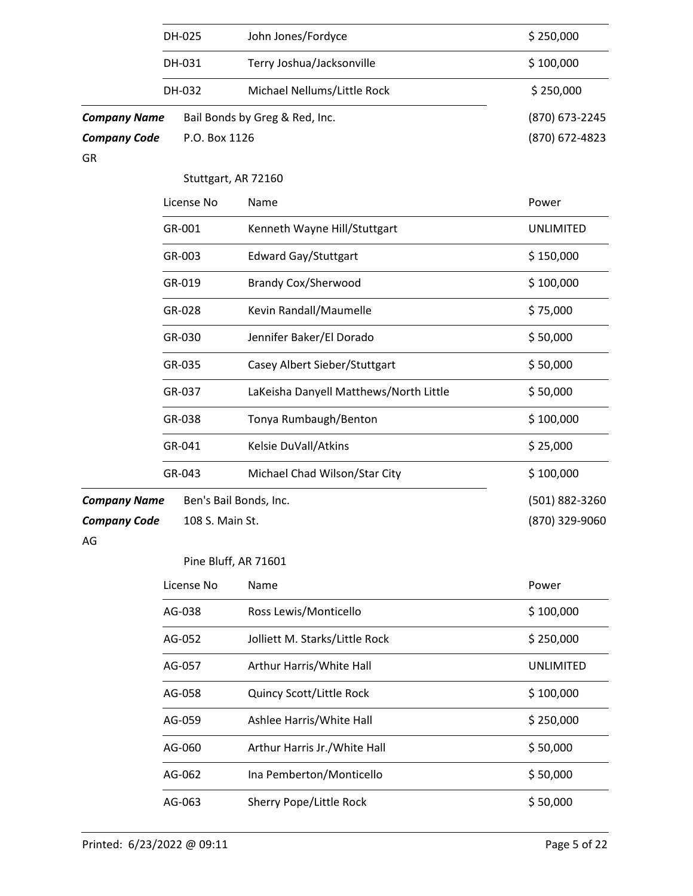|                           | DH-025          | John Jones/Fordyce                     | \$250,000        |
|---------------------------|-----------------|----------------------------------------|------------------|
|                           | DH-031          | Terry Joshua/Jacksonville              | \$100,000        |
|                           | DH-032          | Michael Nellums/Little Rock            | \$250,000        |
| <b>Company Name</b>       |                 | Bail Bonds by Greg & Red, Inc.         | (870) 673-2245   |
| <b>Company Code</b><br>GR | P.O. Box 1126   |                                        | (870) 672-4823   |
|                           |                 | Stuttgart, AR 72160                    |                  |
|                           | License No      | Name                                   | Power            |
|                           | GR-001          | Kenneth Wayne Hill/Stuttgart           | <b>UNLIMITED</b> |
|                           | GR-003          | Edward Gay/Stuttgart                   | \$150,000        |
|                           | GR-019          | <b>Brandy Cox/Sherwood</b>             | \$100,000        |
|                           | GR-028          | Kevin Randall/Maumelle                 | \$75,000         |
|                           | GR-030          | Jennifer Baker/El Dorado               | \$50,000         |
|                           | GR-035          | Casey Albert Sieber/Stuttgart          | \$50,000         |
|                           | GR-037          | LaKeisha Danyell Matthews/North Little | \$50,000         |
|                           | GR-038          | Tonya Rumbaugh/Benton                  | \$100,000        |
|                           | GR-041          | Kelsie DuVall/Atkins                   | \$25,000         |
|                           | GR-043          | Michael Chad Wilson/Star City          | \$100,000        |
| <b>Company Name</b>       |                 | Ben's Bail Bonds, Inc.                 | (501) 882-3260   |
| <b>Company Code</b><br>AG | 108 S. Main St. |                                        | (870) 329-9060   |
|                           |                 | Pine Bluff, AR 71601                   |                  |
|                           | License No      | Name                                   | Power            |
|                           | AG-038          | Ross Lewis/Monticello                  | \$100,000        |
|                           | AG-052          | Jolliett M. Starks/Little Rock         | \$250,000        |
|                           | AG-057          | Arthur Harris/White Hall               | <b>UNLIMITED</b> |
|                           | AG-058          | Quincy Scott/Little Rock               | \$100,000        |
|                           | AG-059          | Ashlee Harris/White Hall               | \$250,000        |
|                           | AG-060          | Arthur Harris Jr./White Hall           | \$50,000         |
|                           | AG-062          | Ina Pemberton/Monticello               | \$50,000         |

AG-063 Sherry Pope/Little Rock \$ 50,000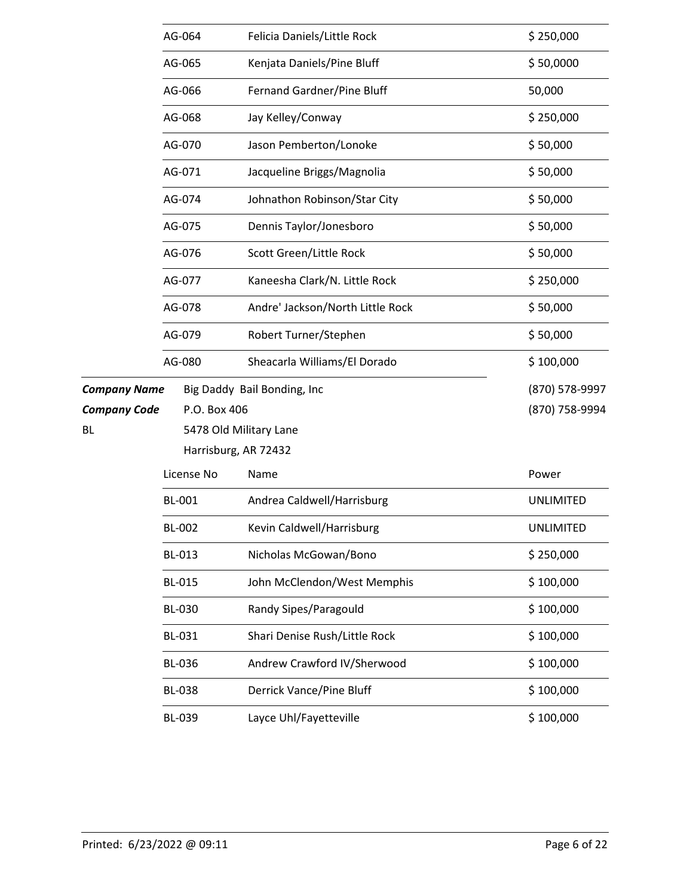|                     | AG-064        | Felicia Daniels/Little Rock      | \$250,000        |
|---------------------|---------------|----------------------------------|------------------|
|                     | AG-065        | Kenjata Daniels/Pine Bluff       | \$50,0000        |
|                     | AG-066        | Fernand Gardner/Pine Bluff       | 50,000           |
|                     | AG-068        | Jay Kelley/Conway                | \$250,000        |
|                     | AG-070        | Jason Pemberton/Lonoke           | \$50,000         |
|                     | AG-071        | Jacqueline Briggs/Magnolia       | \$50,000         |
|                     | AG-074        | Johnathon Robinson/Star City     | \$50,000         |
|                     | AG-075        | Dennis Taylor/Jonesboro          | \$50,000         |
|                     | AG-076        | Scott Green/Little Rock          | \$50,000         |
|                     | AG-077        | Kaneesha Clark/N. Little Rock    | \$250,000        |
|                     | AG-078        | Andre' Jackson/North Little Rock | \$50,000         |
|                     | AG-079        | Robert Turner/Stephen            | \$50,000         |
|                     | AG-080        | Sheacarla Williams/El Dorado     | \$100,000        |
| <b>Company Name</b> |               | Big Daddy Bail Bonding, Inc      | (870) 578-9997   |
| <b>Company Code</b> | P.O. Box 406  |                                  | (870) 758-9994   |
| BL.                 |               | 5478 Old Military Lane           |                  |
|                     |               | Harrisburg, AR 72432             |                  |
|                     | License No    | Name                             | Power            |
|                     | <b>BL-001</b> | Andrea Caldwell/Harrisburg       | <b>UNLIMITED</b> |
|                     | <b>BL-002</b> | Kevin Caldwell/Harrisburg        | UNLIMITED        |
|                     | BL-013        | Nicholas McGowan/Bono            | \$250,000        |
|                     | <b>BL-015</b> | John McClendon/West Memphis      | \$100,000        |
|                     | <b>BL-030</b> | Randy Sipes/Paragould            | \$100,000        |
|                     | BL-031        | Shari Denise Rush/Little Rock    | \$100,000        |
|                     | <b>BL-036</b> | Andrew Crawford IV/Sherwood      | \$100,000        |
|                     | <b>BL-038</b> | Derrick Vance/Pine Bluff         | \$100,000        |
|                     |               |                                  |                  |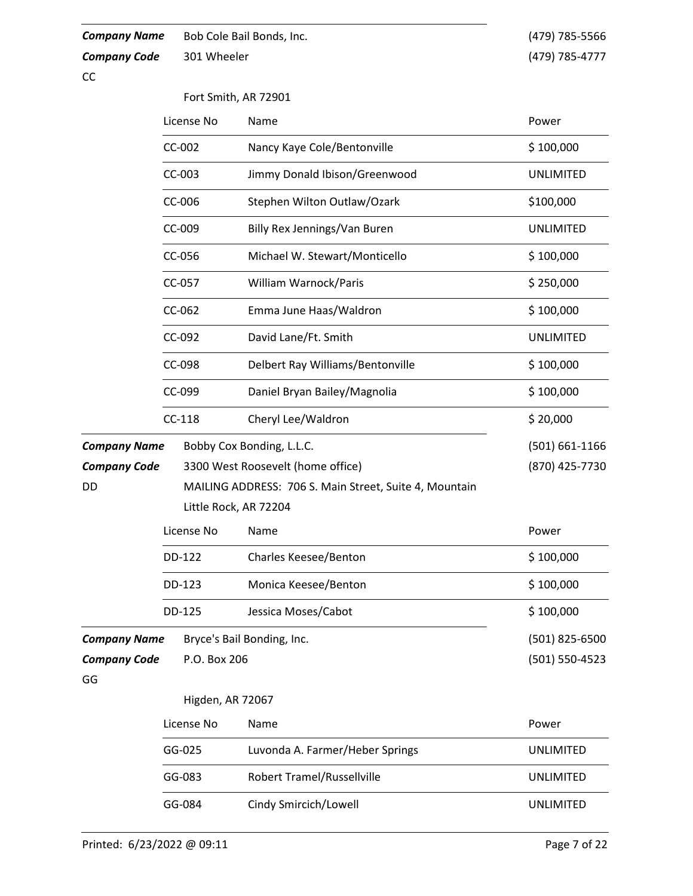**Company Name** Bob Cole Bail Bonds, Inc.

*Company Code*

(479) 785-5566 301 Wheeler (479) 785-4777

CC

Fort Smith, AR 72901

|                     | License No            | Name                                                   | Power              |
|---------------------|-----------------------|--------------------------------------------------------|--------------------|
|                     | CC-002                | Nancy Kaye Cole/Bentonville                            | \$100,000          |
|                     | CC-003                | Jimmy Donald Ibison/Greenwood                          | <b>UNLIMITED</b>   |
|                     | CC-006                | Stephen Wilton Outlaw/Ozark                            | \$100,000          |
|                     | CC-009                | Billy Rex Jennings/Van Buren                           | <b>UNLIMITED</b>   |
|                     | CC-056                | Michael W. Stewart/Monticello                          | \$100,000          |
|                     | CC-057                | William Warnock/Paris                                  | \$250,000          |
|                     | CC-062                | Emma June Haas/Waldron                                 | \$100,000          |
|                     | CC-092                | David Lane/Ft. Smith                                   | <b>UNLIMITED</b>   |
|                     | CC-098                | Delbert Ray Williams/Bentonville                       | \$100,000          |
|                     | CC-099                | Daniel Bryan Bailey/Magnolia                           | \$100,000          |
|                     | $CC-118$              | Cheryl Lee/Waldron                                     | \$20,000           |
| <b>Company Name</b> |                       | Bobby Cox Bonding, L.L.C.                              | $(501) 661 - 1166$ |
| <b>Company Code</b> |                       | 3300 West Roosevelt (home office)                      | (870) 425-7730     |
| DD                  |                       | MAILING ADDRESS: 706 S. Main Street, Suite 4, Mountain |                    |
|                     | Little Rock, AR 72204 |                                                        |                    |
|                     | License No            | Name                                                   | Power              |
|                     | DD-122                | <b>Charles Keesee/Benton</b>                           | \$100,000          |
|                     | DD-123                | Monica Keesee/Benton                                   | \$100,000          |
|                     | DD-125                | Jessica Moses/Cabot                                    | \$100,000          |
| <b>Company Name</b> |                       | Bryce's Bail Bonding, Inc.                             | (501) 825-6500     |
| <b>Company Code</b> | P.O. Box 206          |                                                        | (501) 550-4523     |
| GG                  |                       |                                                        |                    |
|                     | Higden, AR 72067      |                                                        |                    |
|                     | License No            | Name                                                   | Power              |
|                     | GG-025                | Luvonda A. Farmer/Heber Springs                        | <b>UNLIMITED</b>   |
|                     | GG-083                | <b>Robert Tramel/Russellville</b>                      | <b>UNLIMITED</b>   |
|                     | GG-084                | Cindy Smircich/Lowell                                  | <b>UNLIMITED</b>   |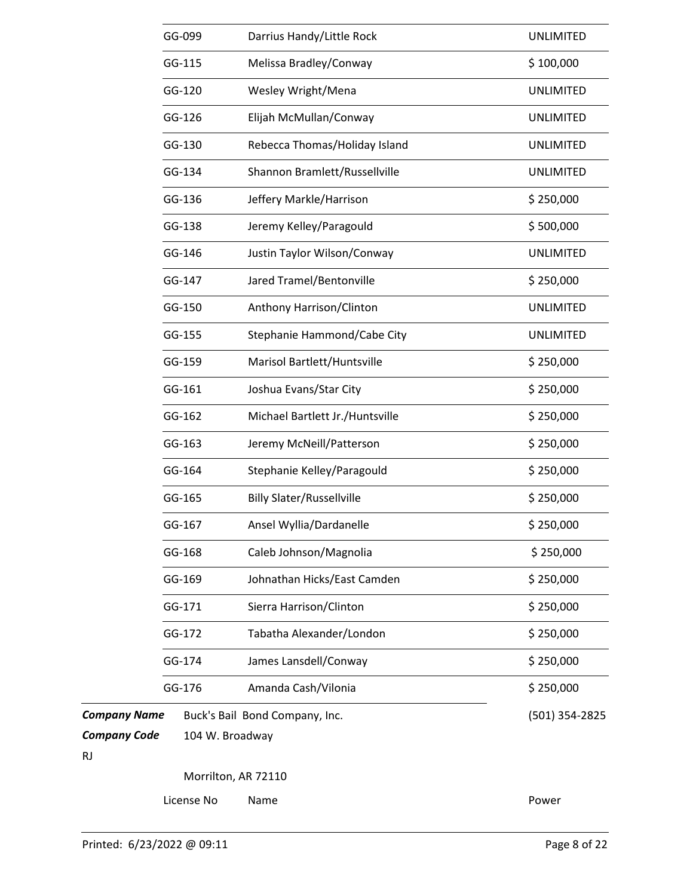|                     | GG-099     | Darrius Handy/Little Rock        | <b>UNLIMITED</b> |
|---------------------|------------|----------------------------------|------------------|
|                     | GG-115     | Melissa Bradley/Conway           | \$100,000        |
|                     | GG-120     | Wesley Wright/Mena               | <b>UNLIMITED</b> |
|                     | GG-126     | Elijah McMullan/Conway           | <b>UNLIMITED</b> |
|                     | GG-130     | Rebecca Thomas/Holiday Island    | <b>UNLIMITED</b> |
|                     | GG-134     | Shannon Bramlett/Russellville    | <b>UNLIMITED</b> |
|                     | GG-136     | Jeffery Markle/Harrison          | \$250,000        |
|                     | GG-138     | Jeremy Kelley/Paragould          | \$500,000        |
|                     | GG-146     | Justin Taylor Wilson/Conway      | <b>UNLIMITED</b> |
|                     | GG-147     | Jared Tramel/Bentonville         | \$250,000        |
|                     | GG-150     | Anthony Harrison/Clinton         | <b>UNLIMITED</b> |
|                     | GG-155     | Stephanie Hammond/Cabe City      | <b>UNLIMITED</b> |
|                     | GG-159     | Marisol Bartlett/Huntsville      | \$250,000        |
|                     | GG-161     | Joshua Evans/Star City           | \$250,000        |
|                     | GG-162     | Michael Bartlett Jr./Huntsville  | \$250,000        |
|                     | GG-163     | Jeremy McNeill/Patterson         | \$250,000        |
|                     | GG-164     | Stephanie Kelley/Paragould       | \$250,000        |
|                     | GG-165     | <b>Billy Slater/Russellville</b> | \$250,000        |
|                     | GG-167     | Ansel Wyllia/Dardanelle          | \$250,000        |
|                     | GG-168     | Caleb Johnson/Magnolia           | \$250,000        |
|                     | GG-169     | Johnathan Hicks/East Camden      | \$250,000        |
|                     | GG-171     | Sierra Harrison/Clinton          | \$250,000        |
|                     | GG-172     | Tabatha Alexander/London         | \$250,000        |
|                     | GG-174     | James Lansdell/Conway            | \$250,000        |
|                     | GG-176     | Amanda Cash/Vilonia              | \$250,000        |
| <b>Company Name</b> |            | Buck's Bail Bond Company, Inc.   | (501) 354-2825   |
| <b>Company Code</b> |            | 104 W. Broadway                  |                  |
| <b>RJ</b>           |            |                                  |                  |
|                     |            | Morrilton, AR 72110              |                  |
|                     | License No | Name                             | Power            |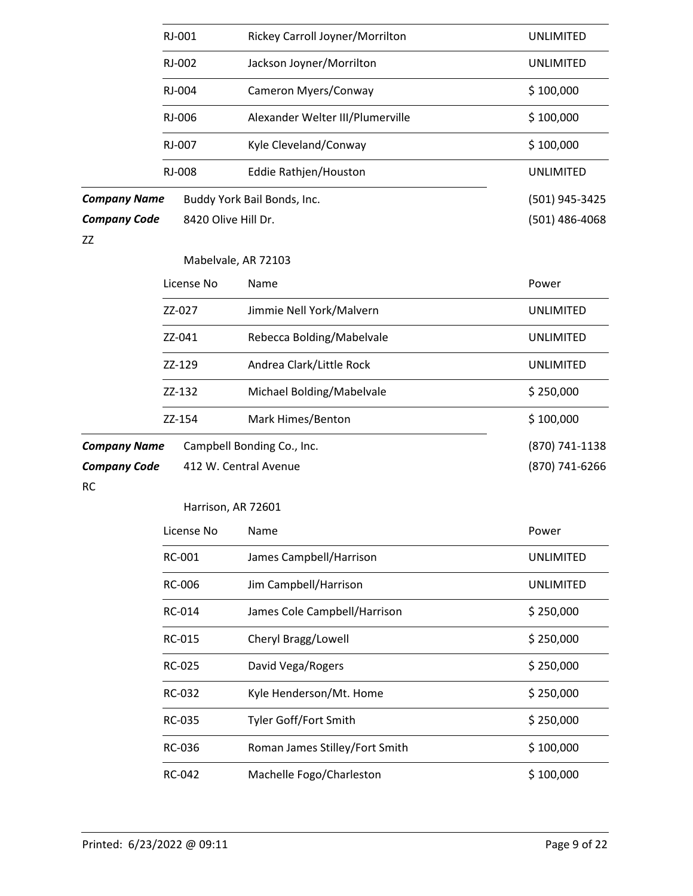|                                                  | RJ-001              | Rickey Carroll Joyner/Morrilton<br>Jackson Joyner/Morrilton | <b>UNLIMITED</b>                   |
|--------------------------------------------------|---------------------|-------------------------------------------------------------|------------------------------------|
|                                                  | RJ-002              |                                                             | <b>UNLIMITED</b>                   |
|                                                  | RJ-004              | Cameron Myers/Conway                                        | \$100,000                          |
|                                                  | RJ-006              | Alexander Welter III/Plumerville                            | \$100,000                          |
|                                                  | RJ-007              | Kyle Cleveland/Conway                                       | \$100,000                          |
|                                                  | RJ-008              | Eddie Rathjen/Houston                                       | <b>UNLIMITED</b>                   |
| <b>Company Name</b><br><b>Company Code</b><br>ZZ | 8420 Olive Hill Dr. | Buddy York Bail Bonds, Inc.                                 | (501) 945-3425<br>$(501)$ 486-4068 |
|                                                  |                     | Mabelvale, AR 72103                                         |                                    |
|                                                  | License No          | Name                                                        | Power                              |
|                                                  | ZZ-027              | Jimmie Nell York/Malvern                                    | <b>UNLIMITED</b>                   |
|                                                  | ZZ-041              | Rebecca Bolding/Mabelvale                                   | <b>UNLIMITED</b>                   |
|                                                  | ZZ-129              | Andrea Clark/Little Rock                                    | <b>UNLIMITED</b>                   |
|                                                  | ZZ-132              | Michael Bolding/Mabelvale                                   | \$250,000                          |
|                                                  | ZZ-154              | Mark Himes/Benton                                           | \$100,000                          |
| <b>Company Name</b>                              |                     | Campbell Bonding Co., Inc.                                  | (870) 741-1138                     |
| <b>Company Code</b>                              |                     | 412 W. Central Avenue                                       | (870) 741-6266                     |
| <b>RC</b>                                        |                     | Harrison, AR 72601                                          |                                    |
|                                                  | License No          | Name                                                        | Power                              |
|                                                  | RC-001              | James Campbell/Harrison                                     | <b>UNLIMITED</b>                   |
|                                                  | RC-006              | Jim Campbell/Harrison                                       | <b>UNLIMITED</b>                   |
|                                                  | RC-014              | James Cole Campbell/Harrison                                | \$250,000                          |
|                                                  | RC-015              | Cheryl Bragg/Lowell                                         | \$250,000                          |
|                                                  | RC-025              | David Vega/Rogers                                           | \$250,000                          |
|                                                  | RC-032              | Kyle Henderson/Mt. Home                                     | \$250,000                          |
|                                                  | RC-035              | Tyler Goff/Fort Smith                                       | \$250,000                          |
|                                                  | RC-036              | Roman James Stilley/Fort Smith                              | \$100,000                          |
|                                                  | RC-042              | Machelle Fogo/Charleston                                    | \$100,000                          |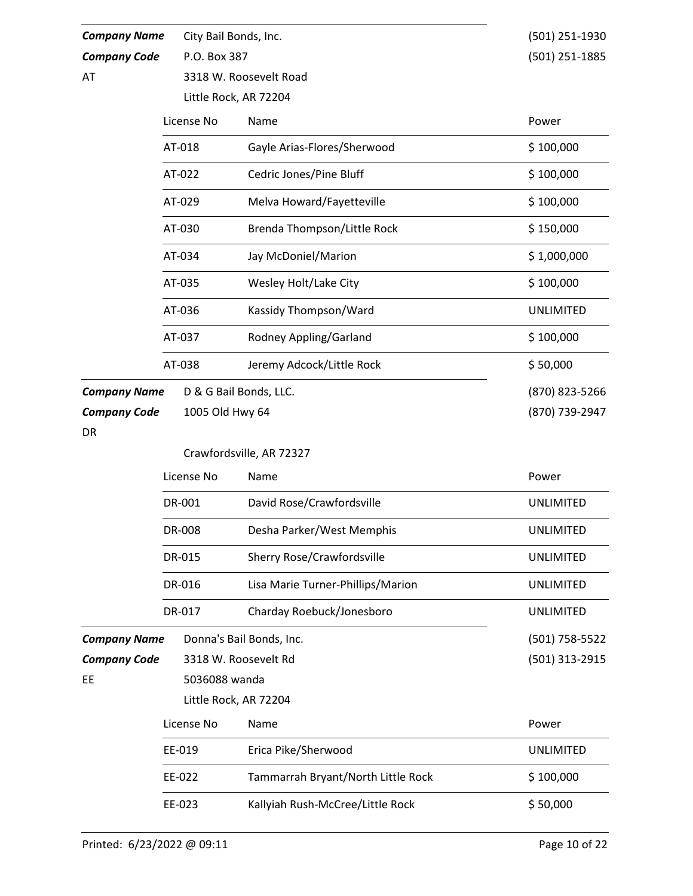| <b>Company Name</b> | City Bail Bonds, Inc. |                                                | (501) 251-1930   |  |  |  |
|---------------------|-----------------------|------------------------------------------------|------------------|--|--|--|
| <b>Company Code</b> | P.O. Box 387          |                                                | (501) 251-1885   |  |  |  |
| AT                  |                       | 3318 W. Roosevelt Road                         |                  |  |  |  |
|                     |                       | Little Rock, AR 72204                          |                  |  |  |  |
|                     | License No            | Name                                           | Power            |  |  |  |
|                     | AT-018                | Gayle Arias-Flores/Sherwood                    | \$100,000        |  |  |  |
|                     | AT-022                | Cedric Jones/Pine Bluff                        | \$100,000        |  |  |  |
|                     | AT-029                | Melva Howard/Fayetteville                      | \$100,000        |  |  |  |
|                     | AT-030                | Brenda Thompson/Little Rock                    | \$150,000        |  |  |  |
|                     | AT-034                | Jay McDoniel/Marion                            | \$1,000,000      |  |  |  |
|                     | AT-035                | Wesley Holt/Lake City<br>Kassidy Thompson/Ward | \$100,000        |  |  |  |
|                     | AT-036                |                                                | <b>UNLIMITED</b> |  |  |  |
|                     | AT-037                | Rodney Appling/Garland                         | \$100,000        |  |  |  |
|                     | AT-038                | Jeremy Adcock/Little Rock                      | \$50,000         |  |  |  |
| <b>Company Name</b> |                       | D & G Bail Bonds, LLC.                         | (870) 823-5266   |  |  |  |
| <b>Company Code</b> | 1005 Old Hwy 64       |                                                | (870) 739-2947   |  |  |  |
| <b>DR</b>           |                       |                                                |                  |  |  |  |
|                     |                       | Crawfordsville, AR 72327                       |                  |  |  |  |
|                     | License No            | Name                                           | Power            |  |  |  |
|                     | DR-001                | David Rose/Crawfordsville                      | <b>UNLIMITED</b> |  |  |  |
|                     | DR-008                | Desha Parker/West Memphis                      | <b>UNLIMITED</b> |  |  |  |
|                     | DR-015                | <b>Sherry Rose/Crawfordsville</b>              | <b>UNLIMITED</b> |  |  |  |
|                     |                       |                                                |                  |  |  |  |
|                     | DR-016                | Lisa Marie Turner-Phillips/Marion              | <b>UNLIMITED</b> |  |  |  |
|                     | DR-017                | Charday Roebuck/Jonesboro                      | <b>UNLIMITED</b> |  |  |  |
| <b>Company Name</b> |                       | Donna's Bail Bonds, Inc.                       | (501) 758-5522   |  |  |  |
| <b>Company Code</b> |                       | 3318 W. Roosevelt Rd                           | (501) 313-2915   |  |  |  |
| EE                  | 5036088 wanda         |                                                |                  |  |  |  |
|                     |                       | Little Rock, AR 72204                          |                  |  |  |  |
|                     | License No            | Name                                           | Power            |  |  |  |
|                     | EE-019                | Erica Pike/Sherwood                            | <b>UNLIMITED</b> |  |  |  |
|                     | EE-022                | Tammarrah Bryant/North Little Rock             | \$100,000        |  |  |  |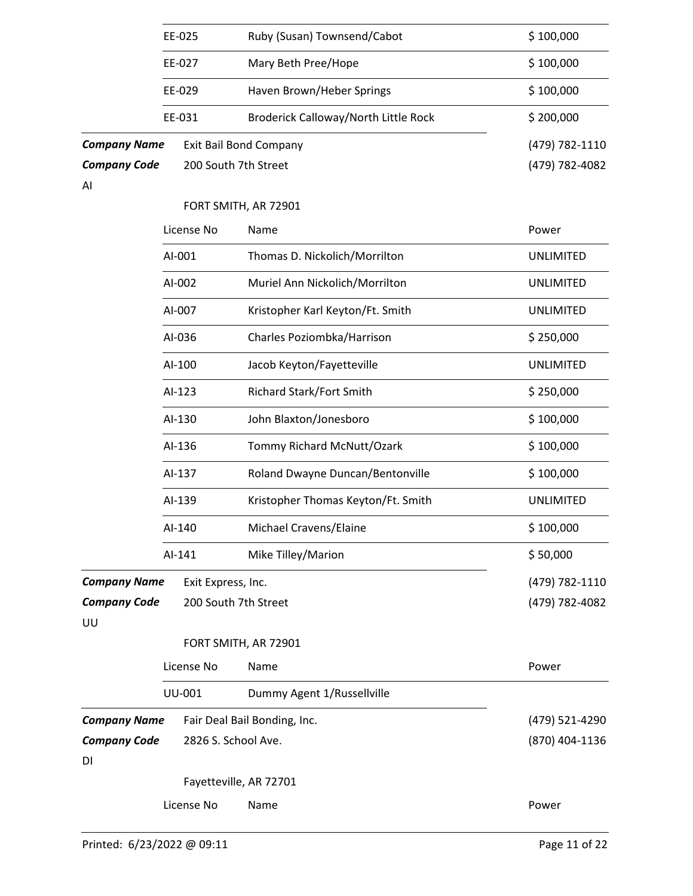|                           | EE-025        | Ruby (Susan) Townsend/Cabot          | \$100,000        |
|---------------------------|---------------|--------------------------------------|------------------|
|                           | EE-027        | Mary Beth Pree/Hope                  | \$100,000        |
|                           | EE-029        | Haven Brown/Heber Springs            | \$100,000        |
|                           | EE-031        | Broderick Calloway/North Little Rock | \$200,000        |
| <b>Company Name</b>       |               | <b>Exit Bail Bond Company</b>        | (479) 782-1110   |
| <b>Company Code</b>       |               | 200 South 7th Street                 | (479) 782-4082   |
| AI                        |               |                                      |                  |
|                           |               | FORT SMITH, AR 72901                 |                  |
|                           | License No    | Name                                 | Power            |
|                           | AI-001        | Thomas D. Nickolich/Morrilton        | <b>UNLIMITED</b> |
|                           | AI-002        | Muriel Ann Nickolich/Morrilton       | <b>UNLIMITED</b> |
|                           | AI-007        | Kristopher Karl Keyton/Ft. Smith     | <b>UNLIMITED</b> |
|                           | AI-036        | Charles Poziombka/Harrison           | \$250,000        |
|                           | AI-100        | Jacob Keyton/Fayetteville            | <b>UNLIMITED</b> |
|                           | AI-123        | Richard Stark/Fort Smith             | \$250,000        |
|                           | AI-130        | John Blaxton/Jonesboro               | \$100,000        |
|                           | AI-136        | Tommy Richard McNutt/Ozark           | \$100,000        |
|                           | AI-137        | Roland Dwayne Duncan/Bentonville     | \$100,000        |
|                           | AI-139        | Kristopher Thomas Keyton/Ft. Smith   | <b>UNLIMITED</b> |
|                           | AI-140        | Michael Cravens/Elaine               | \$100,000        |
|                           | AI-141        | Mike Tilley/Marion                   | \$50,000         |
| <b>Company Name</b>       |               | Exit Express, Inc.                   | (479) 782-1110   |
| <b>Company Code</b><br>UU |               | 200 South 7th Street                 | (479) 782-4082   |
|                           |               | FORT SMITH, AR 72901                 |                  |
|                           | License No    | Name                                 | Power            |
|                           | <b>UU-001</b> | Dummy Agent 1/Russellville           |                  |
| <b>Company Name</b>       |               | Fair Deal Bail Bonding, Inc.         | (479) 521-4290   |
| <b>Company Code</b><br>DI |               | 2826 S. School Ave.                  | (870) 404-1136   |
|                           |               | Fayetteville, AR 72701               |                  |
|                           | License No    | Name                                 | Power            |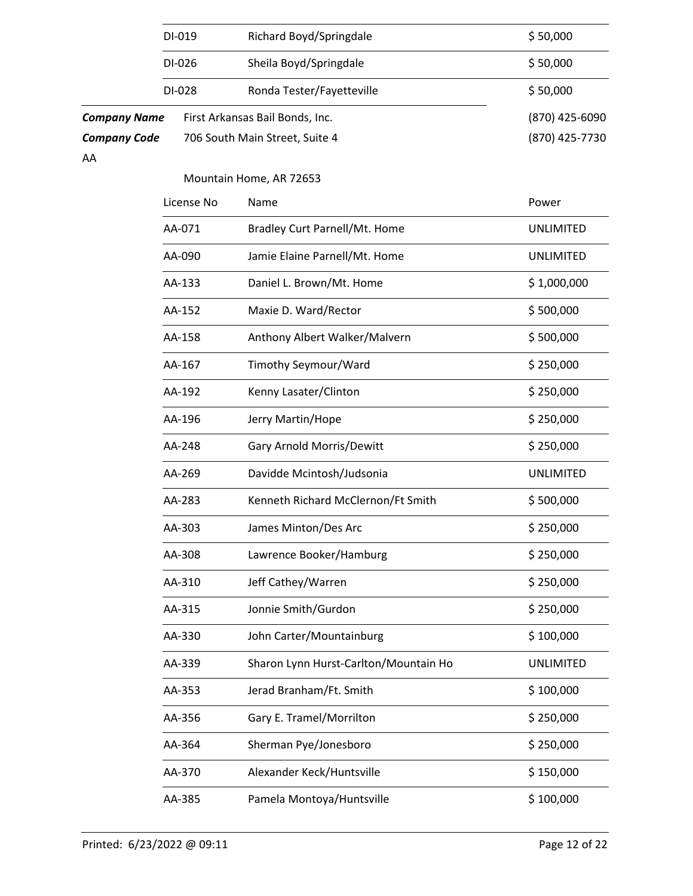|                     | DI-019                           | Richard Boyd/Springdale               | \$50,000         |
|---------------------|----------------------------------|---------------------------------------|------------------|
|                     | Sheila Boyd/Springdale<br>DI-026 | \$50,000                              |                  |
|                     | DI-028                           | Ronda Tester/Fayetteville             | \$50,000         |
| <b>Company Name</b> |                                  | First Arkansas Bail Bonds, Inc.       | (870) 425-6090   |
| <b>Company Code</b> |                                  | 706 South Main Street, Suite 4        | (870) 425-7730   |
| AA                  |                                  | Mountain Home, AR 72653               |                  |
|                     | License No                       | Name                                  | Power            |
|                     | AA-071                           | Bradley Curt Parnell/Mt. Home         | <b>UNLIMITED</b> |
|                     | AA-090                           | Jamie Elaine Parnell/Mt. Home         | <b>UNLIMITED</b> |
|                     | AA-133                           | Daniel L. Brown/Mt. Home              | \$1,000,000      |
|                     | AA-152                           | Maxie D. Ward/Rector                  | \$500,000        |
|                     | AA-158                           | Anthony Albert Walker/Malvern         | \$500,000        |
|                     | AA-167                           | Timothy Seymour/Ward                  | \$250,000        |
|                     | AA-192                           | Kenny Lasater/Clinton                 | \$250,000        |
|                     | AA-196                           | Jerry Martin/Hope                     | \$250,000        |
|                     | AA-248                           | Gary Arnold Morris/Dewitt             | \$250,000        |
|                     | AA-269                           | Davidde Mcintosh/Judsonia             | <b>UNLIMITED</b> |
|                     | AA-283                           | Kenneth Richard McClernon/Ft Smith    | \$500,000        |
|                     | AA-303                           | James Minton/Des Arc                  | \$250,000        |
|                     | AA-308                           | Lawrence Booker/Hamburg               | \$250,000        |
|                     | AA-310                           | Jeff Cathey/Warren                    | \$250,000        |
|                     | AA-315                           | Jonnie Smith/Gurdon                   | \$250,000        |
|                     | AA-330                           | John Carter/Mountainburg              | \$100,000        |
|                     | AA-339                           | Sharon Lynn Hurst-Carlton/Mountain Ho | <b>UNLIMITED</b> |
|                     | AA-353                           | Jerad Branham/Ft. Smith               | \$100,000        |
|                     | AA-356                           | Gary E. Tramel/Morrilton              | \$250,000        |
|                     | AA-364                           | Sherman Pye/Jonesboro                 | \$250,000        |
|                     | AA-370                           | Alexander Keck/Huntsville             | \$150,000        |
|                     | AA-385                           | Pamela Montoya/Huntsville             | \$100,000        |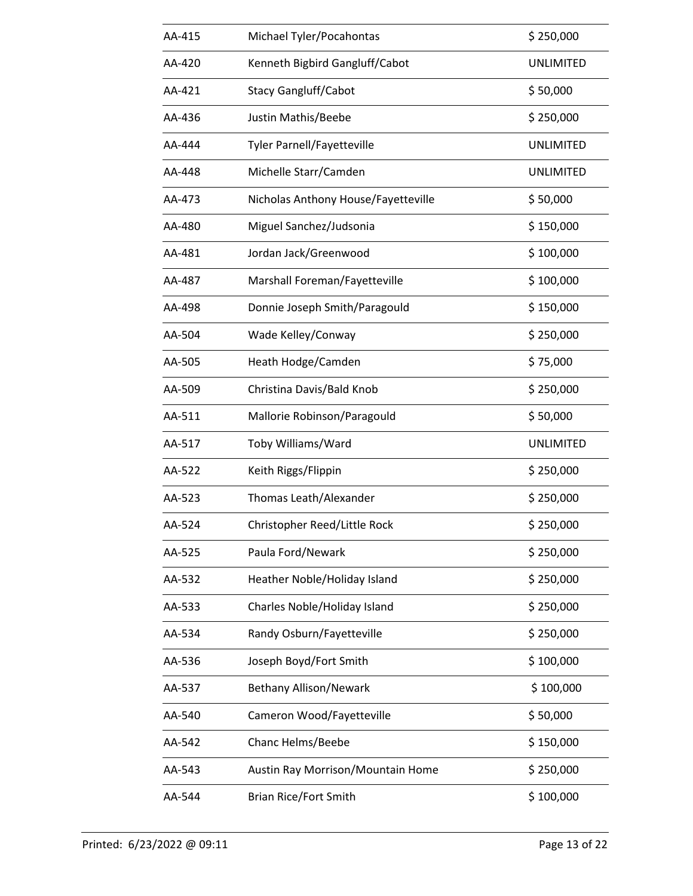| AA-415 | Michael Tyler/Pocahontas            | \$250,000        |
|--------|-------------------------------------|------------------|
| AA-420 | Kenneth Bigbird Gangluff/Cabot      | <b>UNLIMITED</b> |
| AA-421 | <b>Stacy Gangluff/Cabot</b>         | \$50,000         |
| AA-436 | Justin Mathis/Beebe                 | \$250,000        |
| AA-444 | <b>Tyler Parnell/Fayetteville</b>   | <b>UNLIMITED</b> |
| AA-448 | Michelle Starr/Camden               | <b>UNLIMITED</b> |
| AA-473 | Nicholas Anthony House/Fayetteville | \$50,000         |
| AA-480 | Miguel Sanchez/Judsonia             | \$150,000        |
| AA-481 | Jordan Jack/Greenwood               | \$100,000        |
| AA-487 | Marshall Foreman/Fayetteville       | \$100,000        |
| AA-498 | Donnie Joseph Smith/Paragould       | \$150,000        |
| AA-504 | Wade Kelley/Conway                  | \$250,000        |
| AA-505 | Heath Hodge/Camden                  | \$75,000         |
| AA-509 | Christina Davis/Bald Knob           | \$250,000        |
| AA-511 | Mallorie Robinson/Paragould         | \$50,000         |
| AA-517 | Toby Williams/Ward                  | <b>UNLIMITED</b> |
| AA-522 | Keith Riggs/Flippin                 | \$250,000        |
| AA-523 | Thomas Leath/Alexander              | \$250,000        |
| AA-524 | Christopher Reed/Little Rock        | \$250,000        |
| AA-525 | Paula Ford/Newark                   | \$250,000        |
| AA-532 | Heather Noble/Holiday Island        | \$250,000        |
| AA-533 | Charles Noble/Holiday Island        | \$250,000        |
| AA-534 | Randy Osburn/Fayetteville           | \$250,000        |
| AA-536 | Joseph Boyd/Fort Smith              | \$100,000        |
| AA-537 | Bethany Allison/Newark              | \$100,000        |
| AA-540 | Cameron Wood/Fayetteville           | \$50,000         |
| AA-542 | Chanc Helms/Beebe                   | \$150,000        |
| AA-543 | Austin Ray Morrison/Mountain Home   | \$250,000        |
| AA-544 | Brian Rice/Fort Smith               | \$100,000        |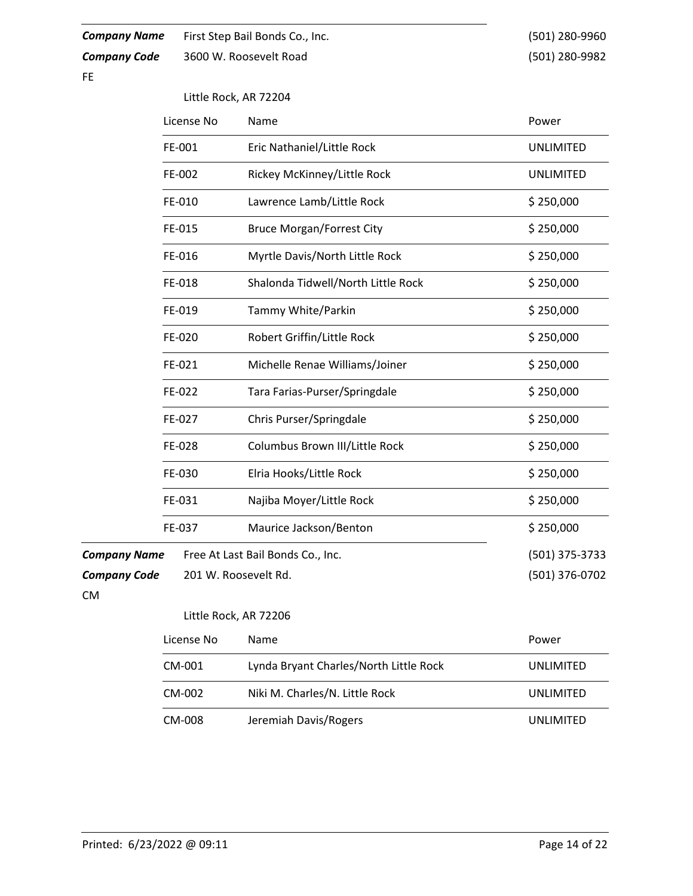| <b>Company Name</b><br><b>Company Code</b><br><b>FE</b> |            | First Step Bail Bonds Co., Inc.<br>3600 W. Roosevelt Road | (501) 280-9960<br>(501) 280-9982 |
|---------------------------------------------------------|------------|-----------------------------------------------------------|----------------------------------|
|                                                         |            | Little Rock, AR 72204                                     |                                  |
|                                                         | License No | Name                                                      | Power                            |
|                                                         | FE-001     | Eric Nathaniel/Little Rock                                | <b>UNLIMITED</b>                 |
|                                                         | FE-002     | Rickey McKinney/Little Rock                               | <b>UNLIMITED</b>                 |
|                                                         | FE-010     | Lawrence Lamb/Little Rock                                 | \$250,000                        |
|                                                         | FE-015     | <b>Bruce Morgan/Forrest City</b>                          | \$250,000                        |
|                                                         | FE-016     | Myrtle Davis/North Little Rock                            | \$250,000                        |
|                                                         | FE-018     | Shalonda Tidwell/North Little Rock                        | \$250,000                        |
|                                                         | FE-019     | Tammy White/Parkin                                        | \$250,000                        |
|                                                         | FE-020     | Robert Griffin/Little Rock                                | \$250,000                        |
|                                                         | FE-021     | Michelle Renae Williams/Joiner                            | \$250,000                        |
|                                                         | FE-022     | Tara Farias-Purser/Springdale                             | \$250,000                        |
|                                                         | FE-027     | Chris Purser/Springdale                                   | \$250,000                        |
|                                                         | FE-028     | Columbus Brown III/Little Rock                            | \$250,000                        |
|                                                         | FE-030     | Elria Hooks/Little Rock                                   | \$250,000                        |
|                                                         | FE-031     | Najiba Moyer/Little Rock                                  | \$250,000                        |
|                                                         | FE-037     | Maurice Jackson/Benton                                    | \$250,000                        |
| <b>Company Name</b>                                     |            | Free At Last Bail Bonds Co., Inc.                         | (501) 375-3733                   |
| <b>Company Code</b><br><b>CM</b>                        |            | 201 W. Roosevelt Rd.                                      | (501) 376-0702                   |
|                                                         |            | Little Rock, AR 72206                                     |                                  |
|                                                         | License No | Name                                                      | Power                            |
|                                                         | CM-001     | Lynda Bryant Charles/North Little Rock                    | <b>UNLIMITED</b>                 |
|                                                         | CM-002     | Niki M. Charles/N. Little Rock                            | <b>UNLIMITED</b>                 |

CM-008 Jeremiah Davis/Rogers UNLIMITED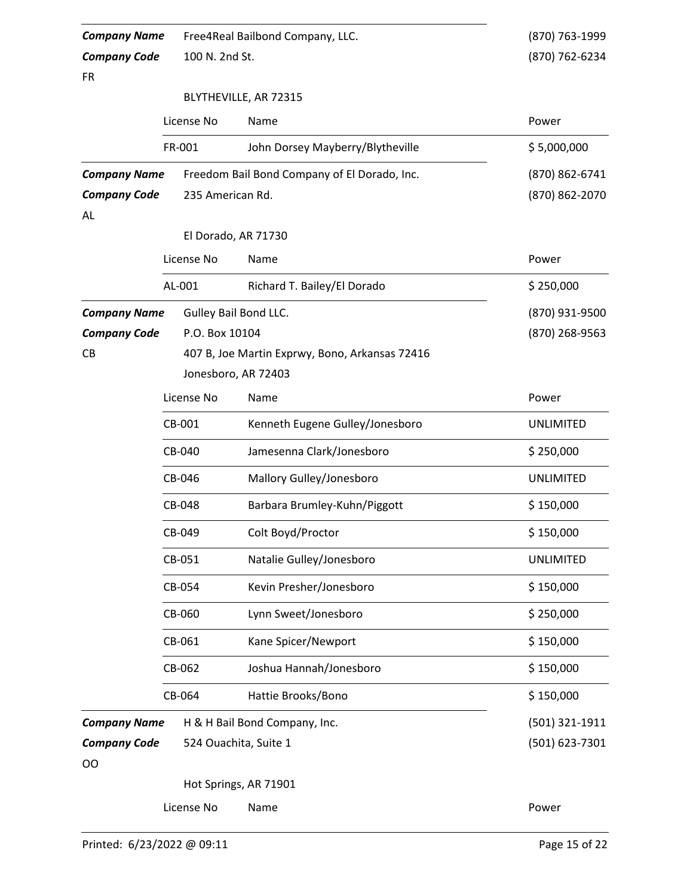| <b>Company Name</b> |                  | Free4Real Bailbond Company, LLC.               | (870) 763-1999   |  |  |  |
|---------------------|------------------|------------------------------------------------|------------------|--|--|--|
| <b>Company Code</b> | 100 N. 2nd St.   |                                                | (870) 762-6234   |  |  |  |
| <b>FR</b>           |                  |                                                |                  |  |  |  |
|                     |                  | BLYTHEVILLE, AR 72315                          |                  |  |  |  |
|                     | License No       | Name                                           | Power            |  |  |  |
|                     | FR-001           | John Dorsey Mayberry/Blytheville               | \$5,000,000      |  |  |  |
| <b>Company Name</b> |                  | Freedom Bail Bond Company of El Dorado, Inc.   | (870) 862-6741   |  |  |  |
| <b>Company Code</b> | 235 American Rd. |                                                | (870) 862-2070   |  |  |  |
| AL.                 |                  |                                                |                  |  |  |  |
|                     |                  | El Dorado, AR 71730                            |                  |  |  |  |
|                     | License No       | Name                                           | Power            |  |  |  |
|                     | AL-001           | Richard T. Bailey/El Dorado                    | \$250,000        |  |  |  |
| <b>Company Name</b> |                  | Gulley Bail Bond LLC.                          | (870) 931-9500   |  |  |  |
| <b>Company Code</b> | P.O. Box 10104   |                                                | (870) 268-9563   |  |  |  |
| CB                  |                  | 407 B, Joe Martin Exprwy, Bono, Arkansas 72416 |                  |  |  |  |
|                     |                  | Jonesboro, AR 72403                            |                  |  |  |  |
|                     | License No       | Name                                           | Power            |  |  |  |
|                     | CB-001           | Kenneth Eugene Gulley/Jonesboro                | <b>UNLIMITED</b> |  |  |  |
|                     | CB-040           | Jamesenna Clark/Jonesboro                      | \$250,000        |  |  |  |
|                     | CB-046           | Mallory Gulley/Jonesboro                       | <b>UNLIMITED</b> |  |  |  |
|                     | CB-048           | Barbara Brumley-Kuhn/Piggott                   | \$150,000        |  |  |  |
|                     | CB-049           | Colt Boyd/Proctor                              | \$150,000        |  |  |  |
|                     | CB-051           | Natalie Gulley/Jonesboro                       | <b>UNLIMITED</b> |  |  |  |
|                     | CB-054           | Kevin Presher/Jonesboro                        | \$150,000        |  |  |  |
|                     | CB-060           | Lynn Sweet/Jonesboro                           | \$250,000        |  |  |  |
|                     | CB-061           | Kane Spicer/Newport                            | \$150,000        |  |  |  |
|                     | CB-062           | Joshua Hannah/Jonesboro                        | \$150,000        |  |  |  |
|                     | CB-064           | Hattie Brooks/Bono                             | \$150,000        |  |  |  |
| <b>Company Name</b> |                  | H & H Bail Bond Company, Inc.                  | (501) 321-1911   |  |  |  |
| <b>Company Code</b> |                  | 524 Ouachita, Suite 1                          | (501) 623-7301   |  |  |  |
| OO                  |                  |                                                |                  |  |  |  |
|                     |                  | Hot Springs, AR 71901                          |                  |  |  |  |
|                     | License No       | Name                                           | Power            |  |  |  |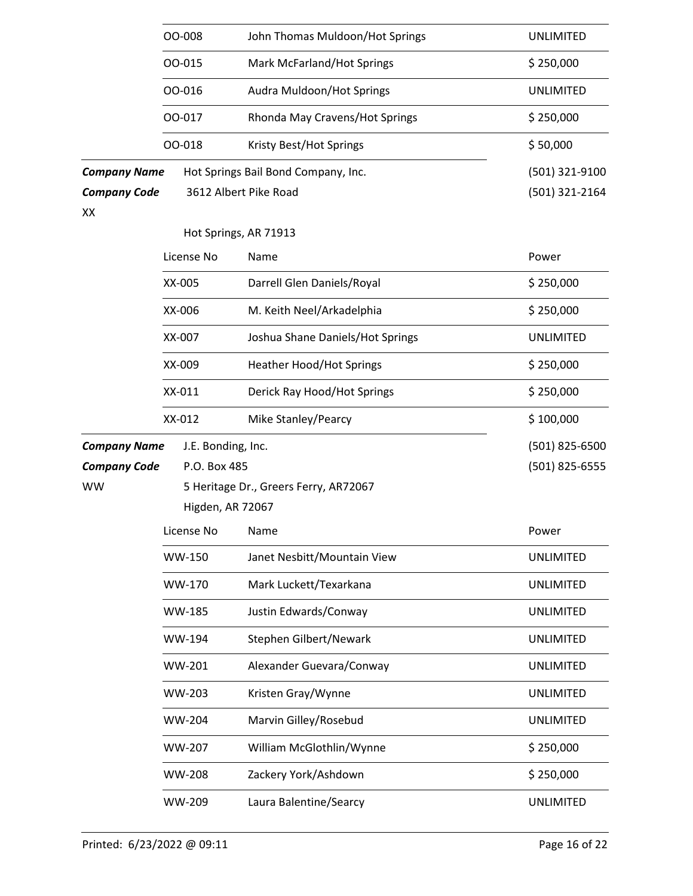|                                                  | 00-008                                | John Thomas Muldoon/Hot Springs                              | <b>UNLIMITED</b>                 |  |
|--------------------------------------------------|---------------------------------------|--------------------------------------------------------------|----------------------------------|--|
|                                                  | 00-015                                | Mark McFarland/Hot Springs                                   | \$250,000                        |  |
|                                                  | 00-016                                | Audra Muldoon/Hot Springs                                    | <b>UNLIMITED</b>                 |  |
|                                                  | 00-017                                | Rhonda May Cravens/Hot Springs                               | \$250,000                        |  |
|                                                  | 00-018                                | Kristy Best/Hot Springs                                      | \$50,000                         |  |
| <b>Company Name</b><br><b>Company Code</b><br>XX |                                       | Hot Springs Bail Bond Company, Inc.<br>3612 Albert Pike Road | (501) 321-9100<br>(501) 321-2164 |  |
|                                                  |                                       | Hot Springs, AR 71913                                        |                                  |  |
|                                                  | License No                            | Name                                                         | Power                            |  |
|                                                  | XX-005                                | Darrell Glen Daniels/Royal                                   | \$250,000                        |  |
|                                                  | XX-006                                | M. Keith Neel/Arkadelphia                                    | \$250,000                        |  |
|                                                  | XX-007                                | Joshua Shane Daniels/Hot Springs                             | <b>UNLIMITED</b>                 |  |
|                                                  | XX-009                                | <b>Heather Hood/Hot Springs</b>                              | \$250,000                        |  |
|                                                  | XX-011                                | Derick Ray Hood/Hot Springs                                  | \$250,000                        |  |
|                                                  | XX-012                                | Mike Stanley/Pearcy                                          | \$100,000                        |  |
| <b>Company Name</b>                              | J.E. Bonding, Inc.                    |                                                              | (501) 825-6500                   |  |
| <b>Company Code</b>                              | P.O. Box 485                          |                                                              | (501) 825-6555                   |  |
| <b>WW</b>                                        | 5 Heritage Dr., Greers Ferry, AR72067 |                                                              |                                  |  |
|                                                  | Higden, AR 72067                      |                                                              |                                  |  |
|                                                  | License No                            | Name                                                         | Power                            |  |
|                                                  | WW-150                                | Janet Nesbitt/Mountain View                                  | <b>UNLIMITED</b>                 |  |
|                                                  | WW-170                                | Mark Luckett/Texarkana                                       | <b>UNLIMITED</b>                 |  |
|                                                  | WW-185                                | Justin Edwards/Conway                                        | <b>UNLIMITED</b>                 |  |
|                                                  | WW-194                                | Stephen Gilbert/Newark                                       | <b>UNLIMITED</b>                 |  |
|                                                  | WW-201                                | Alexander Guevara/Conway                                     | <b>UNLIMITED</b>                 |  |
|                                                  | <b>WW-203</b>                         | Kristen Gray/Wynne                                           | <b>UNLIMITED</b>                 |  |
|                                                  | <b>WW-204</b>                         | Marvin Gilley/Rosebud                                        | <b>UNLIMITED</b>                 |  |
|                                                  | <b>WW-207</b>                         | William McGlothlin/Wynne                                     | \$250,000                        |  |
|                                                  | <b>WW-208</b>                         | Zackery York/Ashdown                                         | \$250,000                        |  |
|                                                  | WW-209                                | Laura Balentine/Searcy                                       | <b>UNLIMITED</b>                 |  |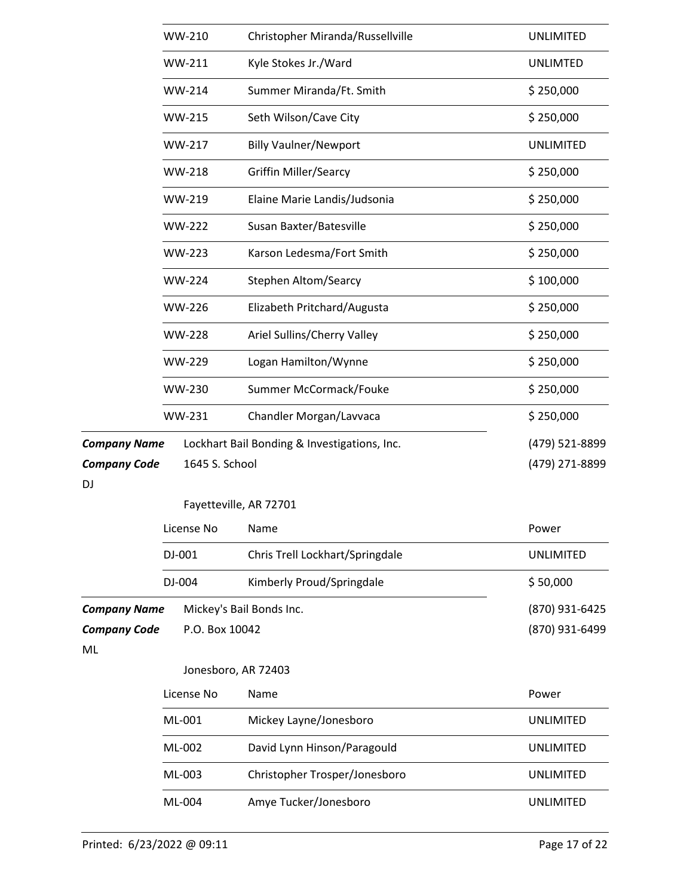|                           | WW-210                   | Christopher Miranda/Russellville             | <b>UNLIMITED</b> |
|---------------------------|--------------------------|----------------------------------------------|------------------|
|                           | WW-211                   | Kyle Stokes Jr./Ward                         | <b>UNLIMTED</b>  |
|                           | WW-214                   | Summer Miranda/Ft. Smith                     | \$250,000        |
|                           | <b>WW-215</b>            | Seth Wilson/Cave City                        | \$250,000        |
|                           | <b>WW-217</b>            | <b>Billy Vaulner/Newport</b>                 | <b>UNLIMITED</b> |
|                           | WW-218                   | <b>Griffin Miller/Searcy</b>                 | \$250,000        |
|                           | WW-219                   | Elaine Marie Landis/Judsonia                 | \$250,000        |
|                           | <b>WW-222</b>            | Susan Baxter/Batesville                      | \$250,000        |
|                           | <b>WW-223</b>            | Karson Ledesma/Fort Smith                    | \$250,000        |
|                           | <b>WW-224</b>            | <b>Stephen Altom/Searcy</b>                  | \$100,000        |
|                           | <b>WW-226</b>            | Elizabeth Pritchard/Augusta                  | \$250,000        |
|                           | <b>WW-228</b>            | Ariel Sullins/Cherry Valley                  | \$250,000        |
|                           | WW-229                   | Logan Hamilton/Wynne                         | \$250,000        |
|                           | WW-230                   | Summer McCormack/Fouke                       | \$250,000        |
|                           | WW-231                   | Chandler Morgan/Lavvaca                      | \$250,000        |
| <b>Company Name</b>       |                          | Lockhart Bail Bonding & Investigations, Inc. | (479) 521-8899   |
| <b>Company Code</b>       | 1645 S. School           |                                              | (479) 271-8899   |
| DJ                        | Fayetteville, AR 72701   |                                              |                  |
|                           | License No               | Name                                         | Power            |
|                           | DJ-001                   | Chris Trell Lockhart/Springdale              | <b>UNLIMITED</b> |
|                           | DJ-004                   | Kimberly Proud/Springdale                    | \$50,000         |
| <b>Company Name</b>       | Mickey's Bail Bonds Inc. |                                              | (870) 931-6425   |
| <b>Company Code</b><br>ML | P.O. Box 10042           |                                              | (870) 931-6499   |
|                           | Jonesboro, AR 72403      |                                              |                  |
|                           | License No               | Name                                         | Power            |
|                           | ML-001                   | Mickey Layne/Jonesboro                       | <b>UNLIMITED</b> |
|                           | ML-002                   | David Lynn Hinson/Paragould                  | <b>UNLIMITED</b> |
|                           | ML-003                   | Christopher Trosper/Jonesboro                | <b>UNLIMITED</b> |
|                           | ML-004                   | Amye Tucker/Jonesboro                        | <b>UNLIMITED</b> |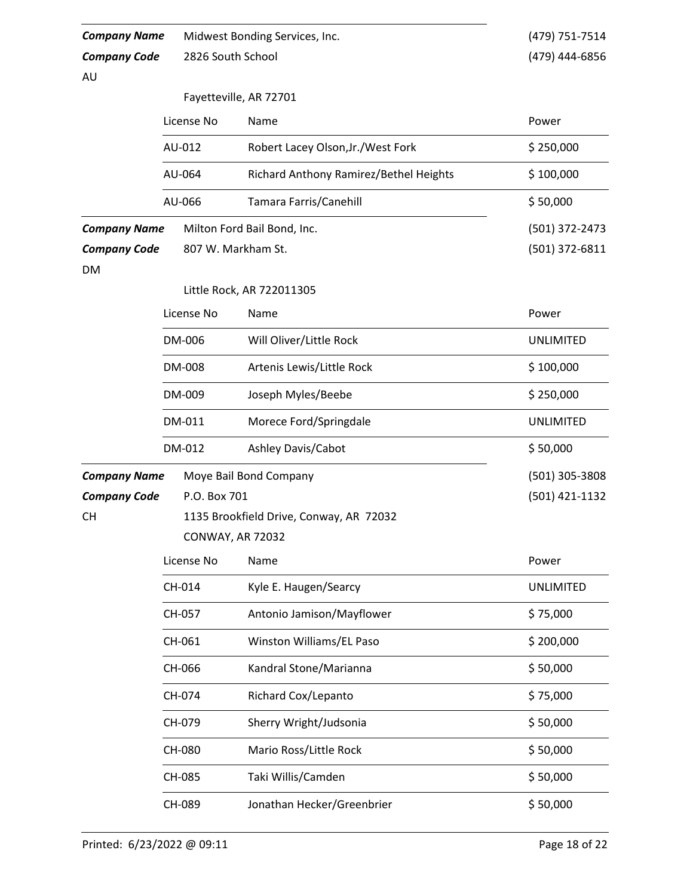| <b>Company Name</b>       |                   | Midwest Bonding Services, Inc.          | (479) 751-7514   |  |  |  |
|---------------------------|-------------------|-----------------------------------------|------------------|--|--|--|
| <b>Company Code</b>       | 2826 South School |                                         | (479) 444-6856   |  |  |  |
| AU                        |                   |                                         |                  |  |  |  |
|                           |                   | Fayetteville, AR 72701                  |                  |  |  |  |
|                           | License No        | Name                                    | Power            |  |  |  |
|                           | AU-012            | Robert Lacey Olson, Jr./West Fork       | \$250,000        |  |  |  |
|                           | AU-064            | Richard Anthony Ramirez/Bethel Heights  | \$100,000        |  |  |  |
|                           | AU-066            | Tamara Farris/Canehill                  | \$50,000         |  |  |  |
| <b>Company Name</b>       |                   | Milton Ford Bail Bond, Inc.             | (501) 372-2473   |  |  |  |
| <b>Company Code</b><br>DM |                   | 807 W. Markham St.                      | (501) 372-6811   |  |  |  |
|                           |                   | Little Rock, AR 722011305               |                  |  |  |  |
|                           | License No        | Name                                    | Power            |  |  |  |
|                           | DM-006            | Will Oliver/Little Rock                 | <b>UNLIMITED</b> |  |  |  |
|                           | DM-008            | Artenis Lewis/Little Rock               | \$100,000        |  |  |  |
|                           | DM-009            | Joseph Myles/Beebe                      | \$250,000        |  |  |  |
|                           | DM-011            | Morece Ford/Springdale                  | <b>UNLIMITED</b> |  |  |  |
|                           | DM-012            | Ashley Davis/Cabot                      | \$50,000         |  |  |  |
| <b>Company Name</b>       |                   | Moye Bail Bond Company                  | (501) 305-3808   |  |  |  |
| <b>Company Code</b>       | P.O. Box 701      |                                         | (501) 421-1132   |  |  |  |
| CН                        |                   | 1135 Brookfield Drive, Conway, AR 72032 |                  |  |  |  |
|                           |                   | <b>CONWAY, AR 72032</b>                 |                  |  |  |  |
|                           | License No        | Name                                    | Power            |  |  |  |
|                           | CH-014            | Kyle E. Haugen/Searcy                   | <b>UNLIMITED</b> |  |  |  |
|                           | CH-057            | Antonio Jamison/Mayflower               | \$75,000         |  |  |  |
|                           | CH-061            | Winston Williams/EL Paso                | \$200,000        |  |  |  |
|                           | CH-066            | Kandral Stone/Marianna                  | \$50,000         |  |  |  |
|                           | CH-074            | Richard Cox/Lepanto                     | \$75,000         |  |  |  |
|                           | CH-079            | Sherry Wright/Judsonia                  | \$50,000         |  |  |  |
|                           | CH-080            | Mario Ross/Little Rock                  | \$50,000         |  |  |  |
|                           | CH-085            | Taki Willis/Camden                      | \$50,000         |  |  |  |
|                           | CH-089            | Jonathan Hecker/Greenbrier              | \$50,000         |  |  |  |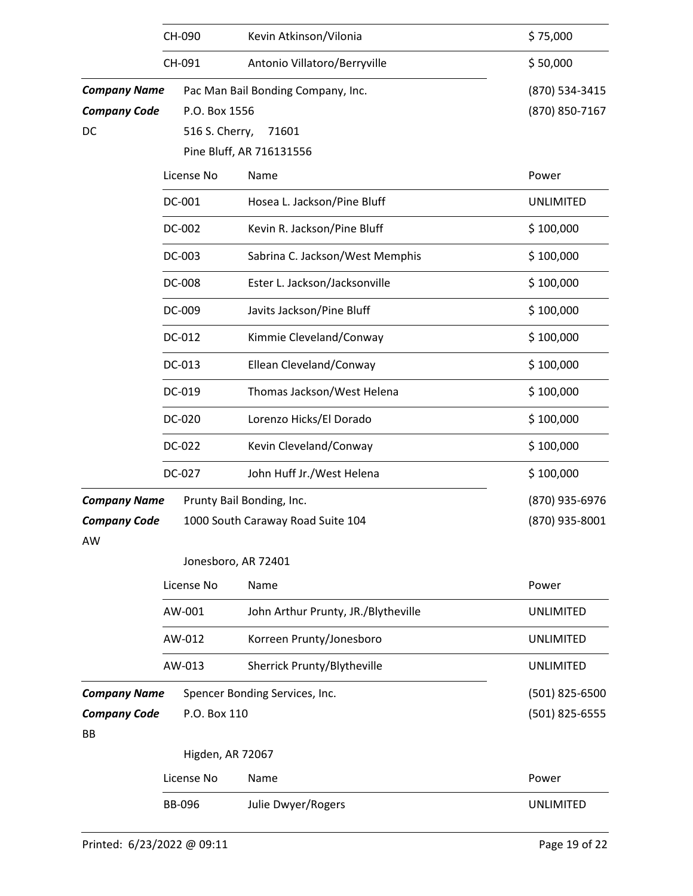|                     | CH-090           | Kevin Atkinson/Vilonia              | \$75,000         |
|---------------------|------------------|-------------------------------------|------------------|
|                     | CH-091           | Antonio Villatoro/Berryville        | \$50,000         |
| <b>Company Name</b> |                  | Pac Man Bail Bonding Company, Inc.  | (870) 534-3415   |
| <b>Company Code</b> | P.O. Box 1556    |                                     | (870) 850-7167   |
| DC                  | 516 S. Cherry,   | 71601                               |                  |
|                     |                  | Pine Bluff, AR 716131556            |                  |
|                     | License No       | Name                                | Power            |
|                     | DC-001           | Hosea L. Jackson/Pine Bluff         | <b>UNLIMITED</b> |
|                     | DC-002           | Kevin R. Jackson/Pine Bluff         | \$100,000        |
|                     | DC-003           | Sabrina C. Jackson/West Memphis     | \$100,000        |
|                     | DC-008           | Ester L. Jackson/Jacksonville       | \$100,000        |
|                     | DC-009           | Javits Jackson/Pine Bluff           | \$100,000        |
|                     | DC-012           | Kimmie Cleveland/Conway             | \$100,000        |
|                     | DC-013           | Ellean Cleveland/Conway             | \$100,000        |
|                     | DC-019           | Thomas Jackson/West Helena          | \$100,000        |
|                     | DC-020           | Lorenzo Hicks/El Dorado             | \$100,000        |
|                     | DC-022           | Kevin Cleveland/Conway              | \$100,000        |
|                     | DC-027           | John Huff Jr./West Helena           | \$100,000        |
| <b>Company Name</b> |                  | Prunty Bail Bonding, Inc.           | (870) 935-6976   |
| <b>Company Code</b> |                  | 1000 South Caraway Road Suite 104   | (870) 935-8001   |
| AW                  |                  |                                     |                  |
|                     |                  | Jonesboro, AR 72401                 |                  |
|                     | License No       | Name                                | Power            |
|                     | AW-001           | John Arthur Prunty, JR./Blytheville | <b>UNLIMITED</b> |
|                     | AW-012           | Korreen Prunty/Jonesboro            | <b>UNLIMITED</b> |
|                     | AW-013           | Sherrick Prunty/Blytheville         | <b>UNLIMITED</b> |
| <b>Company Name</b> |                  | Spencer Bonding Services, Inc.      | (501) 825-6500   |
| <b>Company Code</b> | P.O. Box 110     |                                     | (501) 825-6555   |
| BB                  |                  |                                     |                  |
|                     | Higden, AR 72067 |                                     |                  |
|                     | License No       | Name                                | Power            |
|                     | <b>BB-096</b>    | Julie Dwyer/Rogers                  | <b>UNLIMITED</b> |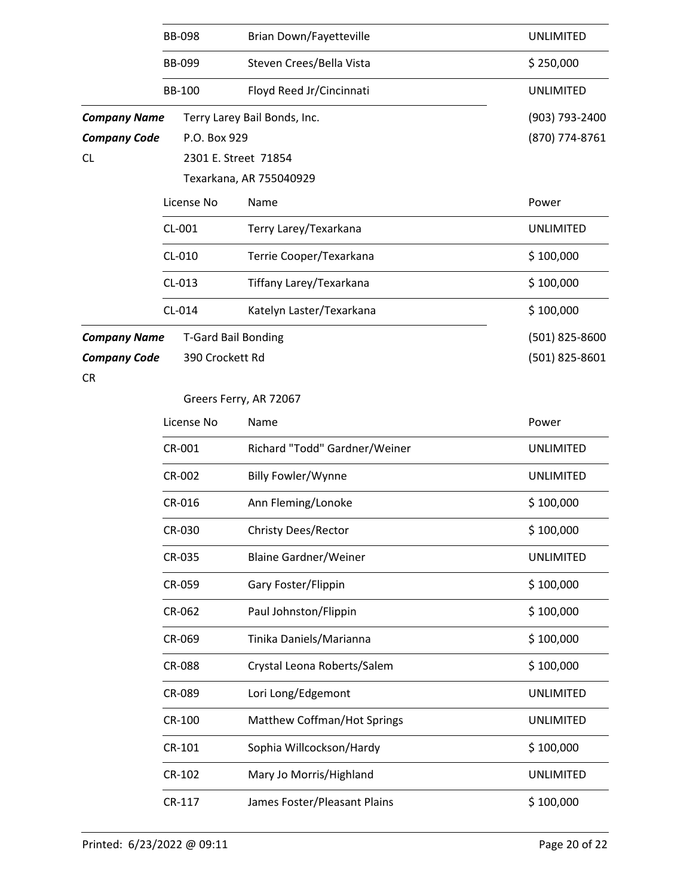|                                            | <b>BB-098</b>   | <b>Brian Down/Fayetteville</b> | <b>UNLIMITED</b>                 |  |  |  |
|--------------------------------------------|-----------------|--------------------------------|----------------------------------|--|--|--|
|                                            | <b>BB-099</b>   | Steven Crees/Bella Vista       | \$250,000                        |  |  |  |
|                                            | <b>BB-100</b>   | Floyd Reed Jr/Cincinnati       | <b>UNLIMITED</b>                 |  |  |  |
| <b>Company Name</b><br><b>Company Code</b> | P.O. Box 929    | Terry Larey Bail Bonds, Inc.   | (903) 793-2400<br>(870) 774-8761 |  |  |  |
| CL.                                        |                 | 2301 E. Street 71854           |                                  |  |  |  |
|                                            |                 | Texarkana, AR 755040929        |                                  |  |  |  |
|                                            | License No      | Name                           | Power                            |  |  |  |
|                                            | CL-001          | Terry Larey/Texarkana          | <b>UNLIMITED</b>                 |  |  |  |
|                                            | CL-010          | Terrie Cooper/Texarkana        | \$100,000                        |  |  |  |
|                                            | CL-013          | Tiffany Larey/Texarkana        | \$100,000                        |  |  |  |
|                                            | CL-014          | Katelyn Laster/Texarkana       | \$100,000                        |  |  |  |
| <b>Company Name</b>                        |                 | <b>T-Gard Bail Bonding</b>     | (501) 825-8600                   |  |  |  |
| <b>Company Code</b>                        | 390 Crockett Rd |                                | (501) 825-8601                   |  |  |  |
| <b>CR</b>                                  |                 |                                |                                  |  |  |  |
|                                            |                 | Greers Ferry, AR 72067         |                                  |  |  |  |
|                                            | License No      | Name                           | Power                            |  |  |  |
|                                            | CR-001          | Richard "Todd" Gardner/Weiner  | <b>UNLIMITED</b>                 |  |  |  |
|                                            | CR-002          | Billy Fowler/Wynne             | <b>UNLIMITED</b>                 |  |  |  |
|                                            | CR-016          | Ann Fleming/Lonoke             | \$100,000                        |  |  |  |
|                                            | CR-030          | Christy Dees/Rector            | \$100,000                        |  |  |  |
|                                            | CR-035          | <b>Blaine Gardner/Weiner</b>   | <b>UNLIMITED</b>                 |  |  |  |
|                                            | CR-059          | Gary Foster/Flippin            | \$100,000                        |  |  |  |
|                                            | CR-062          | Paul Johnston/Flippin          | \$100,000                        |  |  |  |
|                                            | CR-069          | Tinika Daniels/Marianna        | \$100,000                        |  |  |  |
|                                            | CR-088          | Crystal Leona Roberts/Salem    | \$100,000                        |  |  |  |
|                                            | CR-089          | Lori Long/Edgemont             | <b>UNLIMITED</b>                 |  |  |  |
|                                            | CR-100          | Matthew Coffman/Hot Springs    | <b>UNLIMITED</b>                 |  |  |  |
|                                            | CR-101          | Sophia Willcockson/Hardy       | \$100,000                        |  |  |  |
|                                            | CR-102          | Mary Jo Morris/Highland        | <b>UNLIMITED</b>                 |  |  |  |
|                                            | CR-117          | James Foster/Pleasant Plains   | \$100,000                        |  |  |  |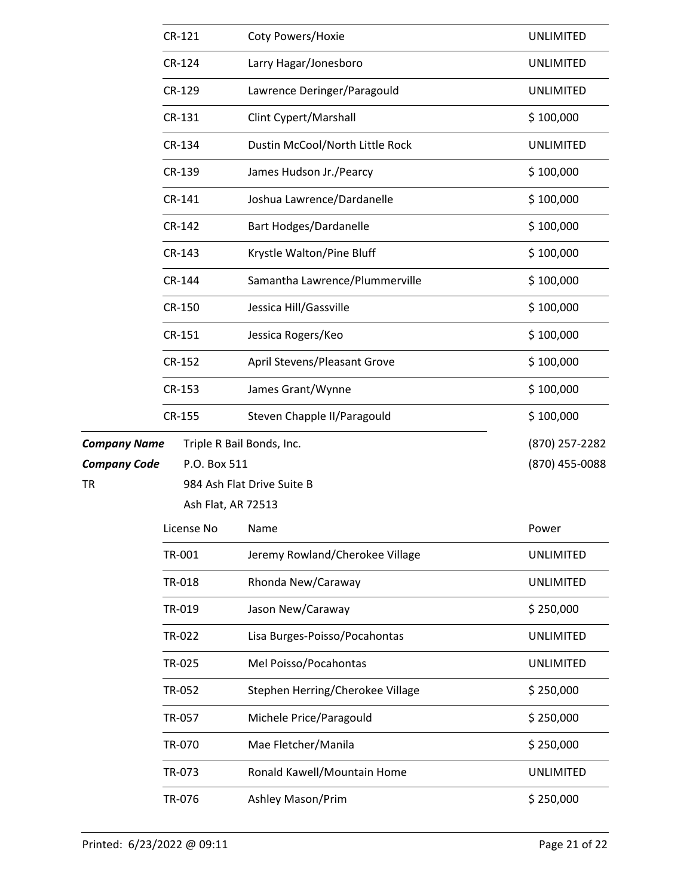|                     | CR-121             | Coty Powers/Hoxie                | <b>UNLIMITED</b> |
|---------------------|--------------------|----------------------------------|------------------|
|                     | CR-124             | Larry Hagar/Jonesboro            | <b>UNLIMITED</b> |
|                     | CR-129             | Lawrence Deringer/Paragould      | <b>UNLIMITED</b> |
|                     | CR-131             | Clint Cypert/Marshall            | \$100,000        |
|                     | CR-134             | Dustin McCool/North Little Rock  | <b>UNLIMITED</b> |
|                     | CR-139             | James Hudson Jr./Pearcy          | \$100,000        |
|                     | CR-141             | Joshua Lawrence/Dardanelle       | \$100,000        |
|                     | CR-142             | <b>Bart Hodges/Dardanelle</b>    | \$100,000        |
|                     | CR-143             | Krystle Walton/Pine Bluff        | \$100,000        |
|                     | CR-144             | Samantha Lawrence/Plummerville   | \$100,000        |
|                     | CR-150             | Jessica Hill/Gassville           | \$100,000        |
|                     | CR-151             | Jessica Rogers/Keo               | \$100,000        |
|                     | CR-152             | April Stevens/Pleasant Grove     | \$100,000        |
|                     | CR-153             | James Grant/Wynne                | \$100,000        |
|                     | CR-155             | Steven Chapple II/Paragould      | \$100,000        |
| <b>Company Name</b> |                    | Triple R Bail Bonds, Inc.        | (870) 257-2282   |
| <b>Company Code</b> | P.O. Box 511       |                                  | (870) 455-0088   |
| TR                  |                    | 984 Ash Flat Drive Suite B       |                  |
|                     | Ash Flat, AR 72513 |                                  |                  |
|                     | License No         | Name                             | Power            |
|                     | TR-001             | Jeremy Rowland/Cherokee Village  | <b>UNLIMITED</b> |
|                     | TR-018             | Rhonda New/Caraway               | <b>UNLIMITED</b> |
|                     |                    |                                  |                  |
|                     | TR-019             | Jason New/Caraway                | \$250,000        |
|                     | TR-022             | Lisa Burges-Poisso/Pocahontas    | <b>UNLIMITED</b> |
|                     | TR-025             | Mel Poisso/Pocahontas            | <b>UNLIMITED</b> |
|                     | TR-052             | Stephen Herring/Cherokee Village | \$250,000        |
|                     | TR-057             | Michele Price/Paragould          | \$250,000        |
|                     | TR-070             | Mae Fletcher/Manila              | \$250,000        |
|                     | TR-073             | Ronald Kawell/Mountain Home      | <b>UNLIMITED</b> |